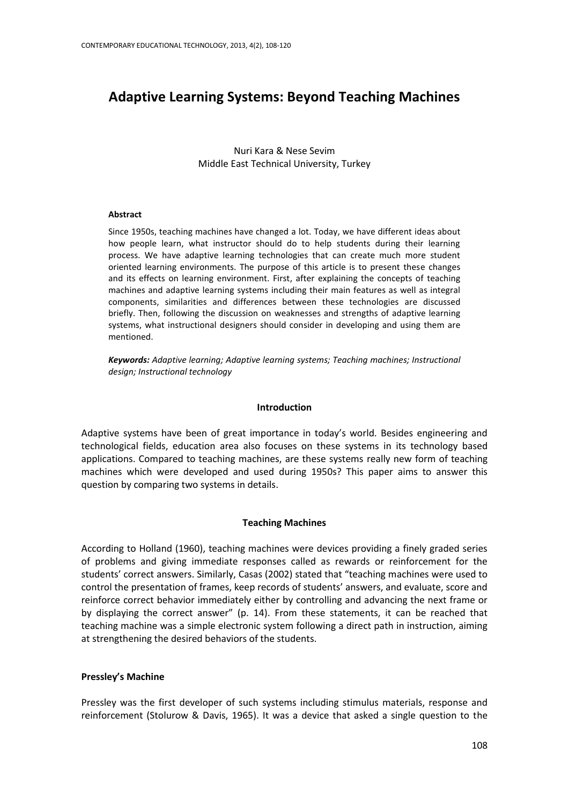# **Adaptive Learning Systems: Beyond Teaching Machines**

Nuri Kara & Nese Sevim Middle East Technical University, Turkey

#### **Abstract**

Since 1950s, teaching machines have changed a lot. Today, we have different ideas about how people learn, what instructor should do to help students during their learning process. We have adaptive learning technologies that can create much more student oriented learning environments. The purpose of this article is to present these changes and its effects on learning environment. First, after explaining the concepts of teaching machines and adaptive learning systems including their main features as well as integral components, similarities and differences between these technologies are discussed briefly. Then, following the discussion on weaknesses and strengths of adaptive learning systems, what instructional designers should consider in developing and using them are mentioned.

*Keywords: Adaptive learning; Adaptive learning systems; Teaching machines; Instructional design; Instructional technology*

#### **Introduction**

Adaptive systems have been of great importance in today's world. Besides engineering and technological fields, education area also focuses on these systems in its technology based applications. Compared to teaching machines, are these systems really new form of teaching machines which were developed and used during 1950s? This paper aims to answer this question by comparing two systems in details.

#### **Teaching Machines**

According to Holland (1960), teaching machines were devices providing a finely graded series of problems and giving immediate responses called as rewards or reinforcement for the students' correct answers. Similarly, Casas (2002) stated that "teaching machines were used to control the presentation of frames, keep records of students' answers, and evaluate, score and reinforce correct behavior immediately either by controlling and advancing the next frame or by displaying the correct answer" (p. 14). From these statements, it can be reached that teaching machine was a simple electronic system following a direct path in instruction, aiming at strengthening the desired behaviors of the students.

#### **Pressley's Machine**

Pressley was the first developer of such systems including stimulus materials, response and reinforcement (Stolurow & Davis, 1965). It was a device that asked a single question to the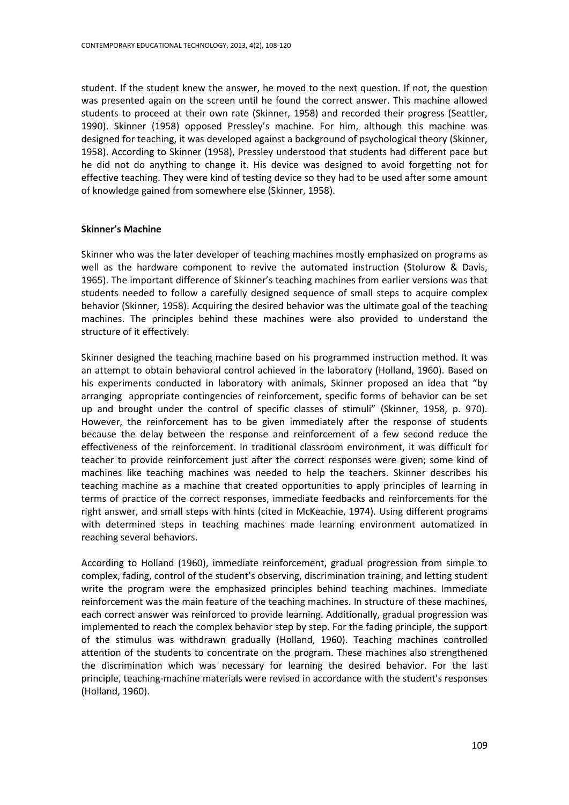student. If the student knew the answer, he moved to the next question. If not, the question was presented again on the screen until he found the correct answer. This machine allowed students to proceed at their own rate (Skinner, 1958) and recorded their progress (Seattler, 1990). Skinner (1958) opposed Pressley's machine. For him, although this machine was designed for teaching, it was developed against a background of psychological theory (Skinner, 1958). According to Skinner (1958), Pressley understood that students had different pace but he did not do anything to change it. His device was designed to avoid forgetting not for effective teaching. They were kind of testing device so they had to be used after some amount of knowledge gained from somewhere else (Skinner, 1958).

#### **Skinner's Machine**

Skinner who was the later developer of teaching machines mostly emphasized on programs as well as the hardware component to revive the automated instruction (Stolurow & Davis, 1965). The important difference of Skinner's teaching machines from earlier versions was that students needed to follow a carefully designed sequence of small steps to acquire complex behavior (Skinner, 1958). Acquiring the desired behavior was the ultimate goal of the teaching machines. The principles behind these machines were also provided to understand the structure of it effectively.

Skinner designed the teaching machine based on his programmed instruction method. It was an attempt to obtain behavioral control achieved in the laboratory (Holland, 1960). Based on his experiments conducted in laboratory with animals, Skinner proposed an idea that "by arranging appropriate contingencies of reinforcement, specific forms of behavior can be set up and brought under the control of specific classes of stimuli" (Skinner, 1958, p. 970). However, the reinforcement has to be given immediately after the response of students because the delay between the response and reinforcement of a few second reduce the effectiveness of the reinforcement. In traditional classroom environment, it was difficult for teacher to provide reinforcement just after the correct responses were given; some kind of machines like teaching machines was needed to help the teachers. Skinner describes his teaching machine as a machine that created opportunities to apply principles of learning in terms of practice of the correct responses, immediate feedbacks and reinforcements for the right answer, and small steps with hints (cited in McKeachie, 1974). Using different programs with determined steps in teaching machines made learning environment automatized in reaching several behaviors.

According to Holland (1960), immediate reinforcement, gradual progression from simple to complex, fading, control of the student's observing, discrimination training, and letting student write the program were the emphasized principles behind teaching machines. Immediate reinforcement was the main feature of the teaching machines. In structure of these machines, each correct answer was reinforced to provide learning. Additionally, gradual progression was implemented to reach the complex behavior step by step. For the fading principle, the support of the stimulus was withdrawn gradually (Holland, 1960). Teaching machines controlled attention of the students to concentrate on the program. These machines also strengthened the discrimination which was necessary for learning the desired behavior. For the last principle, teaching-machine materials were revised in accordance with the student's responses (Holland, 1960).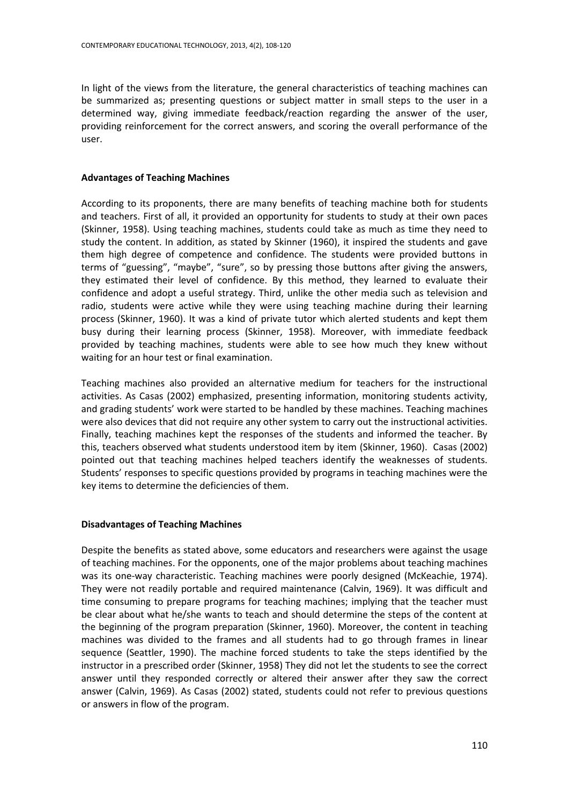In light of the views from the literature, the general characteristics of teaching machines can be summarized as; presenting questions or subject matter in small steps to the user in a determined way, giving immediate feedback/reaction regarding the answer of the user, providing reinforcement for the correct answers, and scoring the overall performance of the user.

## **Advantages of Teaching Machines**

According to its proponents, there are many benefits of teaching machine both for students and teachers. First of all, it provided an opportunity for students to study at their own paces (Skinner, 1958). Using teaching machines, students could take as much as time they need to study the content. In addition, as stated by Skinner (1960), it inspired the students and gave them high degree of competence and confidence. The students were provided buttons in terms of "guessing", "maybe", "sure", so by pressing those buttons after giving the answers, they estimated their level of confidence. By this method, they learned to evaluate their confidence and adopt a useful strategy. Third, unlike the other media such as television and radio, students were active while they were using teaching machine during their learning process (Skinner, 1960). It was a kind of private tutor which alerted students and kept them busy during their learning process (Skinner, 1958). Moreover, with immediate feedback provided by teaching machines, students were able to see how much they knew without waiting for an hour test or final examination.

Teaching machines also provided an alternative medium for teachers for the instructional activities. As Casas (2002) emphasized, presenting information, monitoring students activity, and grading students' work were started to be handled by these machines. Teaching machines were also devices that did not require any other system to carry out the instructional activities. Finally, teaching machines kept the responses of the students and informed the teacher. By this, teachers observed what students understood item by item (Skinner, 1960). Casas (2002) pointed out that teaching machines helped teachers identify the weaknesses of students. Students' responses to specific questions provided by programs in teaching machines were the key items to determine the deficiencies of them.

## **Disadvantages of Teaching Machines**

Despite the benefits as stated above, some educators and researchers were against the usage of teaching machines. For the opponents, one of the major problems about teaching machines was its one-way characteristic. Teaching machines were poorly designed (McKeachie, 1974). They were not readily portable and required maintenance (Calvin, 1969). It was difficult and time consuming to prepare programs for teaching machines; implying that the teacher must be clear about what he/she wants to teach and should determine the steps of the content at the beginning of the program preparation (Skinner, 1960). Moreover, the content in teaching machines was divided to the frames and all students had to go through frames in linear sequence (Seattler, 1990). The machine forced students to take the steps identified by the instructor in a prescribed order (Skinner, 1958) They did not let the students to see the correct answer until they responded correctly or altered their answer after they saw the correct answer (Calvin, 1969). As Casas (2002) stated, students could not refer to previous questions or answers in flow of the program.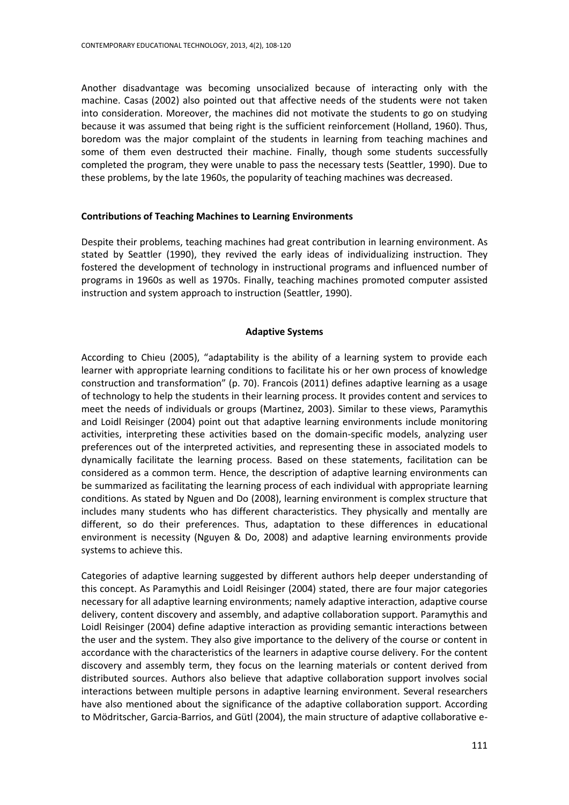Another disadvantage was becoming unsocialized because of interacting only with the machine. Casas (2002) also pointed out that affective needs of the students were not taken into consideration. Moreover, the machines did not motivate the students to go on studying because it was assumed that being right is the sufficient reinforcement (Holland, 1960). Thus, boredom was the major complaint of the students in learning from teaching machines and some of them even destructed their machine. Finally, though some students successfully completed the program, they were unable to pass the necessary tests (Seattler, 1990). Due to these problems, by the late 1960s, the popularity of teaching machines was decreased.

#### **Contributions of Teaching Machines to Learning Environments**

Despite their problems, teaching machines had great contribution in learning environment. As stated by Seattler (1990), they revived the early ideas of individualizing instruction. They fostered the development of technology in instructional programs and influenced number of programs in 1960s as well as 1970s. Finally, teaching machines promoted computer assisted instruction and system approach to instruction (Seattler, 1990).

### **Adaptive Systems**

According to Chieu (2005), "adaptability is the ability of a learning system to provide each learner with appropriate learning conditions to facilitate his or her own process of knowledge construction and transformation" (p. 70). Francois (2011) defines adaptive learning as a usage of technology to help the students in their learning process. It provides content and services to meet the needs of individuals or groups (Martinez, 2003). Similar to these views, Paramythis and Loidl Reisinger (2004) point out that adaptive learning environments include monitoring activities, interpreting these activities based on the domain-specific models, analyzing user preferences out of the interpreted activities, and representing these in associated models to dynamically facilitate the learning process. Based on these statements, facilitation can be considered as a common term. Hence, the description of adaptive learning environments can be summarized as facilitating the learning process of each individual with appropriate learning conditions. As stated by Nguen and Do (2008), learning environment is complex structure that includes many students who has different characteristics. They physically and mentally are different, so do their preferences. Thus, adaptation to these differences in educational environment is necessity (Nguyen & Do, 2008) and adaptive learning environments provide systems to achieve this.

Categories of adaptive learning suggested by different authors help deeper understanding of this concept. As Paramythis and Loidl Reisinger (2004) stated, there are four major categories necessary for all adaptive learning environments; namely adaptive interaction, adaptive course delivery, content discovery and assembly, and adaptive collaboration support. Paramythis and Loidl Reisinger (2004) define adaptive interaction as providing semantic interactions between the user and the system. They also give importance to the delivery of the course or content in accordance with the characteristics of the learners in adaptive course delivery. For the content discovery and assembly term, they focus on the learning materials or content derived from distributed sources. Authors also believe that adaptive collaboration support involves social interactions between multiple persons in adaptive learning environment. Several researchers have also mentioned about the significance of the adaptive collaboration support. According to Mödritscher, Garcia-Barrios, and Gütl (2004), the main structure of adaptive collaborative e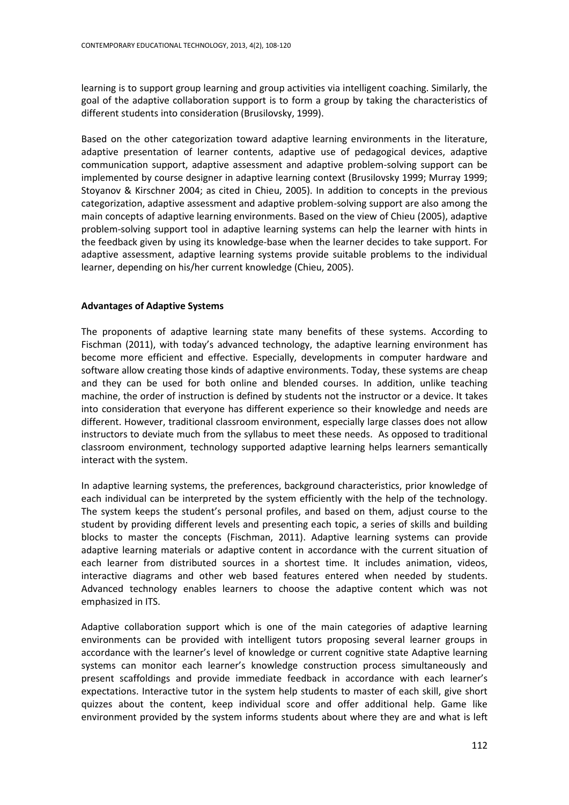learning is to support group learning and group activities via intelligent coaching. Similarly, the goal of the adaptive collaboration support is to form a group by taking the characteristics of different students into consideration (Brusilovsky, 1999).

Based on the other categorization toward adaptive learning environments in the literature, adaptive presentation of learner contents, adaptive use of pedagogical devices, adaptive communication support, adaptive assessment and adaptive problem-solving support can be implemented by course designer in adaptive learning context (Brusilovsky 1999; Murray 1999; Stoyanov & Kirschner 2004; as cited in Chieu, 2005). In addition to concepts in the previous categorization, adaptive assessment and adaptive problem-solving support are also among the main concepts of adaptive learning environments. Based on the view of Chieu (2005), adaptive problem-solving support tool in adaptive learning systems can help the learner with hints in the feedback given by using its knowledge-base when the learner decides to take support. For adaptive assessment, adaptive learning systems provide suitable problems to the individual learner, depending on his/her current knowledge (Chieu, 2005).

#### **Advantages of Adaptive Systems**

The proponents of adaptive learning state many benefits of these systems. According to Fischman (2011), with today's advanced technology, the adaptive learning environment has become more efficient and effective. Especially, developments in computer hardware and software allow creating those kinds of adaptive environments. Today, these systems are cheap and they can be used for both online and blended courses. In addition, unlike teaching machine, the order of instruction is defined by students not the instructor or a device. It takes into consideration that everyone has different experience so their knowledge and needs are different. However, traditional classroom environment, especially large classes does not allow instructors to deviate much from the syllabus to meet these needs. As opposed to traditional classroom environment, technology supported adaptive learning helps learners semantically interact with the system.

In adaptive learning systems, the preferences, background characteristics, prior knowledge of each individual can be interpreted by the system efficiently with the help of the technology. The system keeps the student's personal profiles, and based on them, adjust course to the student by providing different levels and presenting each topic, a series of skills and building blocks to master the concepts (Fischman, 2011). Adaptive learning systems can provide adaptive learning materials or adaptive content in accordance with the current situation of each learner from distributed sources in a shortest time. It includes animation, videos, interactive diagrams and other web based features entered when needed by students. Advanced technology enables learners to choose the adaptive content which was not emphasized in ITS.

Adaptive collaboration support which is one of the main categories of adaptive learning environments can be provided with intelligent tutors proposing several learner groups in accordance with the learner's level of knowledge or current cognitive state Adaptive learning systems can monitor each learner's knowledge construction process simultaneously and present scaffoldings and provide immediate feedback in accordance with each learner's expectations. Interactive tutor in the system help students to master of each skill, give short quizzes about the content, keep individual score and offer additional help. Game like environment provided by the system informs students about where they are and what is left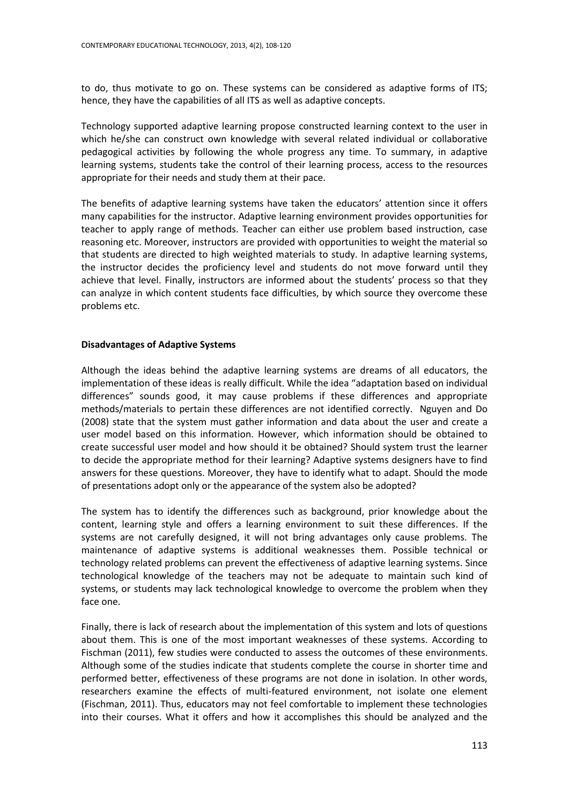to do, thus motivate to go on. These systems can be considered as adaptive forms of ITS; hence, they have the capabilities of all ITS as well as adaptive concepts.

Technology supported adaptive learning propose constructed learning context to the user in which he/she can construct own knowledge with several related individual or collaborative pedagogical activities by following the whole progress any time. To summary, in adaptive learning systems, students take the control of their learning process, access to the resources appropriate for their needs and study them at their pace.

The benefits of adaptive learning systems have taken the educators' attention since it offers many capabilities for the instructor. Adaptive learning environment provides opportunities for teacher to apply range of methods. Teacher can either use problem based instruction, case reasoning etc. Moreover, instructors are provided with opportunities to weight the material so that students are directed to high weighted materials to study. In adaptive learning systems, the instructor decides the proficiency level and students do not move forward until they achieve that level. Finally, instructors are informed about the students' process so that they can analyze in which content students face difficulties, by which source they overcome these problems etc.

#### **Disadvantages of Adaptive Systems**

Although the ideas behind the adaptive learning systems are dreams of all educators, the implementation of these ideas is really difficult. While the idea "adaptation based on individual differences" sounds good, it may cause problems if these differences and appropriate methods/materials to pertain these differences are not identified correctly. Nguyen and Do (2008) state that the system must gather information and data about the user and create a user model based on this information. However, which information should be obtained to create successful user model and how should it be obtained? Should system trust the learner to decide the appropriate method for their learning? Adaptive systems designers have to find answers for these questions. Moreover, they have to identify what to adapt. Should the mode of presentations adopt only or the appearance of the system also be adopted?

The system has to identify the differences such as background, prior knowledge about the content, learning style and offers a learning environment to suit these differences. If the systems are not carefully designed, it will not bring advantages only cause problems. The maintenance of adaptive systems is additional weaknesses them. Possible technical or technology related problems can prevent the effectiveness of adaptive learning systems. Since technological knowledge of the teachers may not be adequate to maintain such kind of systems, or students may lack technological knowledge to overcome the problem when they face one.

Finally, there is lack of research about the implementation of this system and lots of questions about them. This is one of the most important weaknesses of these systems. According to Fischman (2011), few studies were conducted to assess the outcomes of these environments. Although some of the studies indicate that students complete the course in shorter time and performed better, effectiveness of these programs are not done in isolation. In other words, researchers examine the effects of multi-featured environment, not isolate one element (Fischman, 2011). Thus, educators may not feel comfortable to implement these technologies into their courses. What it offers and how it accomplishes this should be analyzed and the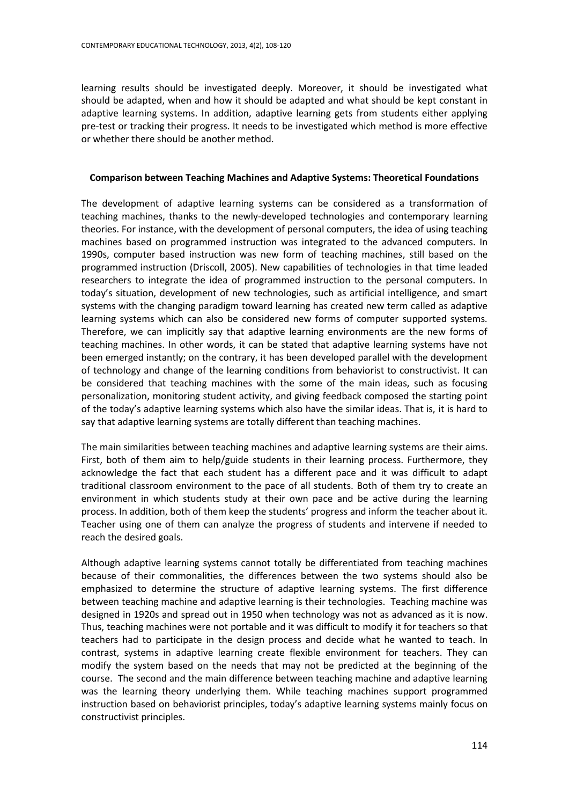learning results should be investigated deeply. Moreover, it should be investigated what should be adapted, when and how it should be adapted and what should be kept constant in adaptive learning systems. In addition, adaptive learning gets from students either applying pre-test or tracking their progress. It needs to be investigated which method is more effective or whether there should be another method.

#### **Comparison between Teaching Machines and Adaptive Systems: Theoretical Foundations**

The development of adaptive learning systems can be considered as a transformation of teaching machines, thanks to the newly-developed technologies and contemporary learning theories. For instance, with the development of personal computers, the idea of using teaching machines based on programmed instruction was integrated to the advanced computers. In 1990s, computer based instruction was new form of teaching machines, still based on the programmed instruction (Driscoll, 2005). New capabilities of technologies in that time leaded researchers to integrate the idea of programmed instruction to the personal computers. In today's situation, development of new technologies, such as artificial intelligence, and smart systems with the changing paradigm toward learning has created new term called as adaptive learning systems which can also be considered new forms of computer supported systems. Therefore, we can implicitly say that adaptive learning environments are the new forms of teaching machines. In other words, it can be stated that adaptive learning systems have not been emerged instantly; on the contrary, it has been developed parallel with the development of technology and change of the learning conditions from behaviorist to constructivist. It can be considered that teaching machines with the some of the main ideas, such as focusing personalization, monitoring student activity, and giving feedback composed the starting point of the today's adaptive learning systems which also have the similar ideas. That is, it is hard to say that adaptive learning systems are totally different than teaching machines.

The main similarities between teaching machines and adaptive learning systems are their aims. First, both of them aim to help/guide students in their learning process. Furthermore, they acknowledge the fact that each student has a different pace and it was difficult to adapt traditional classroom environment to the pace of all students. Both of them try to create an environment in which students study at their own pace and be active during the learning process. In addition, both of them keep the students' progress and inform the teacher about it. Teacher using one of them can analyze the progress of students and intervene if needed to reach the desired goals.

Although adaptive learning systems cannot totally be differentiated from teaching machines because of their commonalities, the differences between the two systems should also be emphasized to determine the structure of adaptive learning systems. The first difference between teaching machine and adaptive learning is their technologies. Teaching machine was designed in 1920s and spread out in 1950 when technology was not as advanced as it is now. Thus, teaching machines were not portable and it was difficult to modify it for teachers so that teachers had to participate in the design process and decide what he wanted to teach. In contrast, systems in adaptive learning create flexible environment for teachers. They can modify the system based on the needs that may not be predicted at the beginning of the course. The second and the main difference between teaching machine and adaptive learning was the learning theory underlying them. While teaching machines support programmed instruction based on behaviorist principles, today's adaptive learning systems mainly focus on constructivist principles.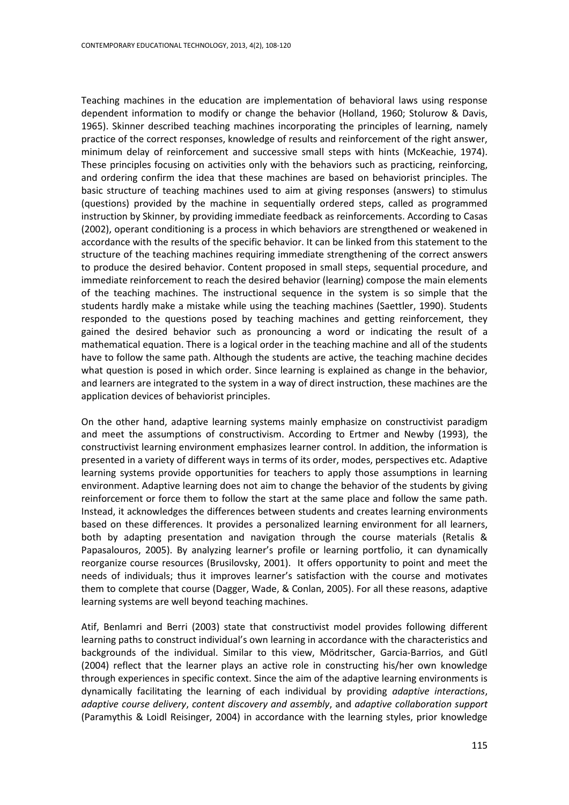Teaching machines in the education are implementation of behavioral laws using response dependent information to modify or change the behavior (Holland, 1960; Stolurow & Davis, 1965). Skinner described teaching machines incorporating the principles of learning, namely practice of the correct responses, knowledge of results and reinforcement of the right answer, minimum delay of reinforcement and successive small steps with hints (McKeachie, 1974). These principles focusing on activities only with the behaviors such as practicing, reinforcing, and ordering confirm the idea that these machines are based on behaviorist principles. The basic structure of teaching machines used to aim at giving responses (answers) to stimulus (questions) provided by the machine in sequentially ordered steps, called as programmed instruction by Skinner, by providing immediate feedback as reinforcements. According to Casas (2002), operant conditioning is a process in which behaviors are strengthened or weakened in accordance with the results of the specific behavior. It can be linked from this statement to the structure of the teaching machines requiring immediate strengthening of the correct answers to produce the desired behavior. Content proposed in small steps, sequential procedure, and immediate reinforcement to reach the desired behavior (learning) compose the main elements of the teaching machines. The instructional sequence in the system is so simple that the students hardly make a mistake while using the teaching machines (Saettler, 1990). Students responded to the questions posed by teaching machines and getting reinforcement, they gained the desired behavior such as pronouncing a word or indicating the result of a mathematical equation. There is a logical order in the teaching machine and all of the students have to follow the same path. Although the students are active, the teaching machine decides what question is posed in which order. Since learning is explained as change in the behavior, and learners are integrated to the system in a way of direct instruction, these machines are the application devices of behaviorist principles.

On the other hand, adaptive learning systems mainly emphasize on constructivist paradigm and meet the assumptions of constructivism. According to Ertmer and Newby (1993), the constructivist learning environment emphasizes learner control. In addition, the information is presented in a variety of different ways in terms of its order, modes, perspectives etc. Adaptive learning systems provide opportunities for teachers to apply those assumptions in learning environment. Adaptive learning does not aim to change the behavior of the students by giving reinforcement or force them to follow the start at the same place and follow the same path. Instead, it acknowledges the differences between students and creates learning environments based on these differences. It provides a personalized learning environment for all learners, both by adapting presentation and navigation through the course materials (Retalis & Papasalouros, 2005). By analyzing learner's profile or learning portfolio, it can dynamically reorganize course resources (Brusilovsky, 2001). It offers opportunity to point and meet the needs of individuals; thus it improves learner's satisfaction with the course and motivates them to complete that course (Dagger, Wade, & Conlan, 2005). For all these reasons, adaptive learning systems are well beyond teaching machines.

Atif, Benlamri and Berri (2003) state that constructivist model provides following different learning paths to construct individual's own learning in accordance with the characteristics and backgrounds of the individual. Similar to this view, Mödritscher, Garcia-Barrios, and Gütl (2004) reflect that the learner plays an active role in constructing his/her own knowledge through experiences in specific context. Since the aim of the adaptive learning environments is dynamically facilitating the learning of each individual by providing *adaptive interactions*, *adaptive course delivery*, *content discovery and assembly*, and *adaptive collaboration support* (Paramythis & Loidl Reisinger, 2004) in accordance with the learning styles, prior knowledge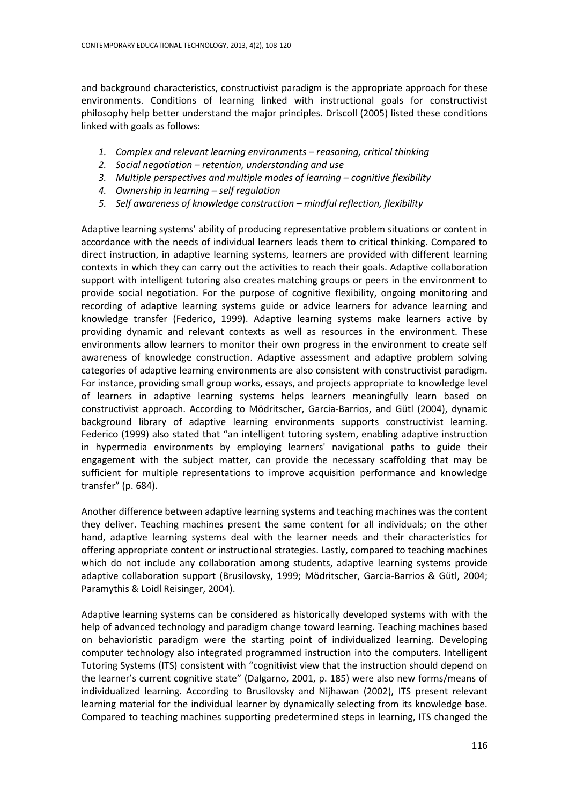and background characteristics, constructivist paradigm is the appropriate approach for these environments. Conditions of learning linked with instructional goals for constructivist philosophy help better understand the major principles. Driscoll (2005) listed these conditions linked with goals as follows:

- *1. Complex and relevant learning environments – reasoning, critical thinking*
- *2. Social negotiation – retention, understanding and use*
- *3. Multiple perspectives and multiple modes of learning – cognitive flexibility*
- *4. Ownership in learning – self regulation*
- *5. Self awareness of knowledge construction – mindful reflection, flexibility*

Adaptive learning systems' ability of producing representative problem situations or content in accordance with the needs of individual learners leads them to critical thinking. Compared to direct instruction, in adaptive learning systems, learners are provided with different learning contexts in which they can carry out the activities to reach their goals. Adaptive collaboration support with intelligent tutoring also creates matching groups or peers in the environment to provide social negotiation. For the purpose of cognitive flexibility, ongoing monitoring and recording of adaptive learning systems guide or advice learners for advance learning and knowledge transfer (Federico, 1999). Adaptive learning systems make learners active by providing dynamic and relevant contexts as well as resources in the environment. These environments allow learners to monitor their own progress in the environment to create self awareness of knowledge construction. Adaptive assessment and adaptive problem solving categories of adaptive learning environments are also consistent with constructivist paradigm. For instance, providing small group works, essays, and projects appropriate to knowledge level of learners in adaptive learning systems helps learners meaningfully learn based on constructivist approach. According to Mödritscher, Garcia-Barrios, and Gütl (2004), dynamic background library of adaptive learning environments supports constructivist learning. Federico (1999) also stated that "an intelligent tutoring system, enabling adaptive instruction in hypermedia environments by employing learners' navigational paths to guide their engagement with the subject matter, can provide the necessary scaffolding that may be sufficient for multiple representations to improve acquisition performance and knowledge transfer" (p. 684).

Another difference between adaptive learning systems and teaching machines was the content they deliver. Teaching machines present the same content for all individuals; on the other hand, adaptive learning systems deal with the learner needs and their characteristics for offering appropriate content or instructional strategies. Lastly, compared to teaching machines which do not include any collaboration among students, adaptive learning systems provide adaptive collaboration support (Brusilovsky, 1999; Mödritscher, Garcia-Barrios & Gütl, 2004; Paramythis & Loidl Reisinger, 2004).

Adaptive learning systems can be considered as historically developed systems with with the help of advanced technology and paradigm change toward learning. Teaching machines based on behavioristic paradigm were the starting point of individualized learning. Developing computer technology also integrated programmed instruction into the computers. Intelligent Tutoring Systems (ITS) consistent with "cognitivist view that the instruction should depend on the learner's current cognitive state" (Dalgarno, 2001, p. 185) were also new forms/means of individualized learning. According to Brusilovsky and Nijhawan (2002), ITS present relevant learning material for the individual learner by dynamically selecting from its knowledge base. Compared to teaching machines supporting predetermined steps in learning, ITS changed the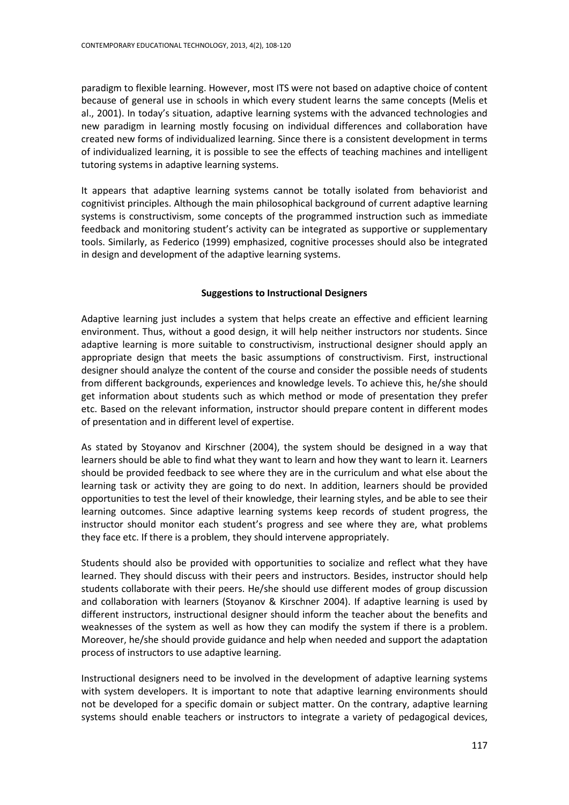paradigm to flexible learning. However, most ITS were not based on adaptive choice of content because of general use in schools in which every student learns the same concepts (Melis et al., 2001). In today's situation, adaptive learning systems with the advanced technologies and new paradigm in learning mostly focusing on individual differences and collaboration have created new forms of individualized learning. Since there is a consistent development in terms of individualized learning, it is possible to see the effects of teaching machines and intelligent tutoring systems in adaptive learning systems.

It appears that adaptive learning systems cannot be totally isolated from behaviorist and cognitivist principles. Although the main philosophical background of current adaptive learning systems is constructivism, some concepts of the programmed instruction such as immediate feedback and monitoring student's activity can be integrated as supportive or supplementary tools. Similarly, as Federico (1999) emphasized, cognitive processes should also be integrated in design and development of the adaptive learning systems.

## **Suggestions to Instructional Designers**

Adaptive learning just includes a system that helps create an effective and efficient learning environment. Thus, without a good design, it will help neither instructors nor students. Since adaptive learning is more suitable to constructivism, instructional designer should apply an appropriate design that meets the basic assumptions of constructivism. First, instructional designer should analyze the content of the course and consider the possible needs of students from different backgrounds, experiences and knowledge levels. To achieve this, he/she should get information about students such as which method or mode of presentation they prefer etc. Based on the relevant information, instructor should prepare content in different modes of presentation and in different level of expertise.

As stated by Stoyanov and Kirschner (2004), the system should be designed in a way that learners should be able to find what they want to learn and how they want to learn it. Learners should be provided feedback to see where they are in the curriculum and what else about the learning task or activity they are going to do next. In addition, learners should be provided opportunities to test the level of their knowledge, their learning styles, and be able to see their learning outcomes. Since adaptive learning systems keep records of student progress, the instructor should monitor each student's progress and see where they are, what problems they face etc. If there is a problem, they should intervene appropriately.

Students should also be provided with opportunities to socialize and reflect what they have learned. They should discuss with their peers and instructors. Besides, instructor should help students collaborate with their peers. He/she should use different modes of group discussion and collaboration with learners (Stoyanov & Kirschner 2004). If adaptive learning is used by different instructors, instructional designer should inform the teacher about the benefits and weaknesses of the system as well as how they can modify the system if there is a problem. Moreover, he/she should provide guidance and help when needed and support the adaptation process of instructors to use adaptive learning.

Instructional designers need to be involved in the development of adaptive learning systems with system developers. It is important to note that adaptive learning environments should not be developed for a specific domain or subject matter. On the contrary, adaptive learning systems should enable teachers or instructors to integrate a variety of pedagogical devices,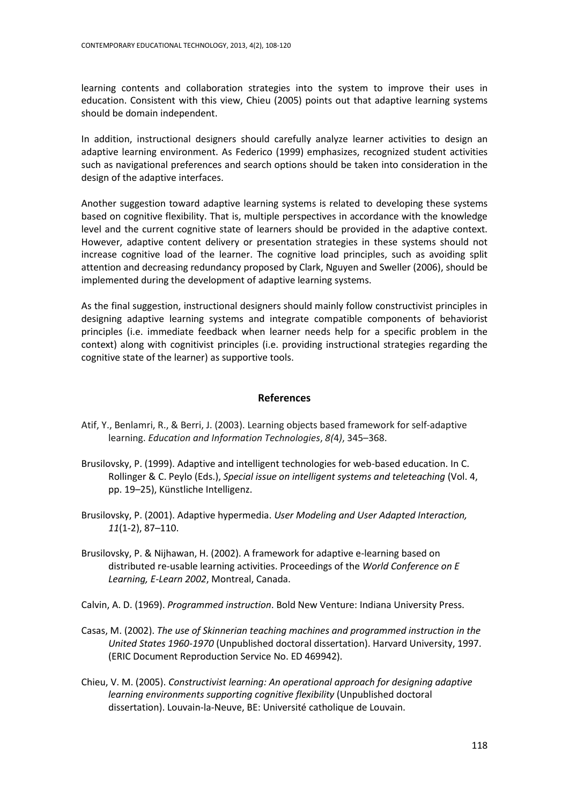learning contents and collaboration strategies into the system to improve their uses in education. Consistent with this view, Chieu (2005) points out that adaptive learning systems should be domain independent.

In addition, instructional designers should carefully analyze learner activities to design an adaptive learning environment. As Federico (1999) emphasizes, recognized student activities such as navigational preferences and search options should be taken into consideration in the design of the adaptive interfaces.

Another suggestion toward adaptive learning systems is related to developing these systems based on cognitive flexibility. That is, multiple perspectives in accordance with the knowledge level and the current cognitive state of learners should be provided in the adaptive context. However, adaptive content delivery or presentation strategies in these systems should not increase cognitive load of the learner. The cognitive load principles, such as avoiding split attention and decreasing redundancy proposed by Clark, Nguyen and Sweller (2006), should be implemented during the development of adaptive learning systems.

As the final suggestion, instructional designers should mainly follow constructivist principles in designing adaptive learning systems and integrate compatible components of behaviorist principles (i.e. immediate feedback when learner needs help for a specific problem in the context) along with cognitivist principles (i.e. providing instructional strategies regarding the cognitive state of the learner) as supportive tools.

#### **References**

- Atif, Y., Benlamri, R., & Berri, J. (2003). Learning objects based framework for self-adaptive learning. *Education and Information Technologies*, *8(*4*)*, 345–368.
- Brusilovsky, P. (1999). Adaptive and intelligent technologies for web-based education. In C. Rollinger & C. Peylo (Eds.), *Special issue on intelligent systems and teleteaching* (Vol. 4, pp. 19–25), Künstliche Intelligenz.
- Brusilovsky, P. (2001). Adaptive hypermedia. *User Modeling and User Adapted Interaction, 11*(1-2), 87–110.
- Brusilovsky, P. & Nijhawan, H. (2002). A framework for adaptive e-learning based on distributed re-usable learning activities. Proceedings of the *World Conference on E Learning, E-Learn 2002*, Montreal, Canada.
- Calvin, A. D. (1969). *Programmed instruction*. Bold New Venture: Indiana University Press.
- Casas, M. (2002). *The use of Skinnerian teaching machines and programmed instruction in the United States 1960-1970* (Unpublished doctoral dissertation). Harvard University, 1997. (ERIC Document Reproduction Service No. ED 469942).
- Chieu, V. M. (2005). *Constructivist learning: An operational approach for designing adaptive learning environments supporting cognitive flexibility* (Unpublished doctoral dissertation). Louvain-la-Neuve, BE: Université catholique de Louvain.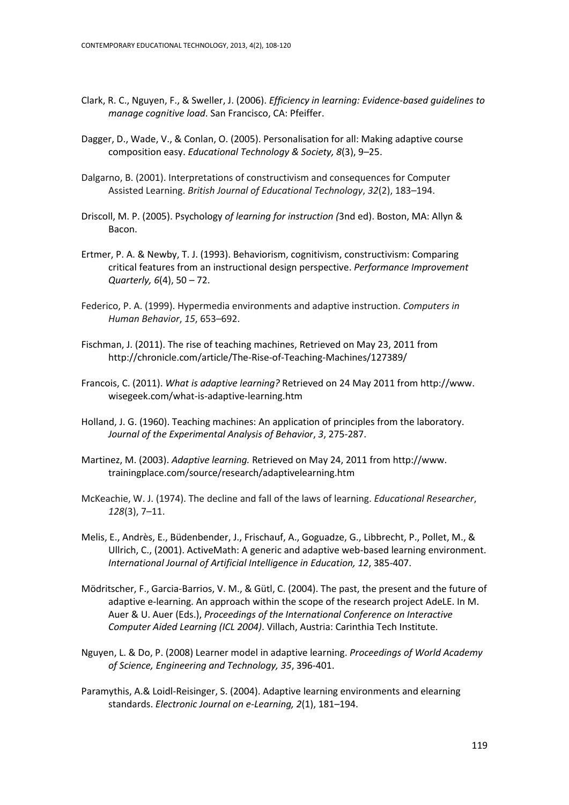- Clark, R. C., Nguyen, F., & Sweller, J. (2006). *Efficiency in learning: Evidence-based guidelines to manage cognitive load*. San Francisco, CA: Pfeiffer.
- Dagger, D., Wade, V., & Conlan, O. (2005). Personalisation for all: Making adaptive course composition easy. *Educational Technology & Society, 8*(3), 9–25.
- Dalgarno, B. (2001). Interpretations of constructivism and consequences for Computer Assisted Learning. *British Journal of Educational Technology*, *32*(2), 183–194.
- Driscoll, M. P. (2005). Psychology *of learning for instruction (*3nd ed). Boston, MA: Allyn & Bacon.
- Ertmer, P. A. & Newby, T. J. (1993). Behaviorism, cognitivism, constructivism: Comparing critical features from an instructional design perspective. *Performance Improvement Quarterly, 6*(4), 50 – 72.
- Federico, P. A. (1999). Hypermedia environments and adaptive instruction. *Computers in Human Behavior*, *15*, 653–692.
- Fischman, J. (2011). The rise of teaching machines, Retrieved on May 23, 2011 from http://chronicle.com/article/The-Rise-of-Teaching-Machines/127389/
- Francois, C. (2011). *What is adaptive learning?* Retrieved on 24 May 2011 from http://www. wisegeek.com/what-is-adaptive-learning.htm
- Holland, J. G. (1960). Teaching machines: An application of principles from the laboratory. *Journal of the Experimental Analysis of Behavior*, *3*, 275-287.
- Martinez, M. (2003). *Adaptive learning.* Retrieved on May 24, 2011 from http://www. trainingplace.com/source/research/adaptivelearning.htm
- McKeachie, W. J. (1974). The decline and fall of the laws of learning. *Educational Researcher*, *128*(3), 7–11.
- Melis, E., Andrès, E., Büdenbender, J., Frischauf, A., Goguadze, G., Libbrecht, P., Pollet, M., & Ullrich, C., (2001). ActiveMath: A generic and adaptive web-based learning environment. *International Journal of Artificial Intelligence in Education, 12*, 385-407.
- Mödritscher, F., Garcia-Barrios, V. M., & Gütl, C. (2004). The past, the present and the future of adaptive e-learning. An approach within the scope of the research project AdeLE. In M. Auer & U. Auer (Eds.), *Proceedings of the International Conference on Interactive Computer Aided Learning (ICL 2004)*. Villach, Austria: Carinthia Tech Institute.
- Nguyen, L. & Do, P. (2008) Learner model in adaptive learning. *Proceedings of World Academy of Science, Engineering and Technology, 35*, 396-401.
- Paramythis, A.& Loidl-Reisinger, S. (2004). Adaptive learning environments and elearning standards. *Electronic Journal on e-Learning, 2*(1), 181–194.